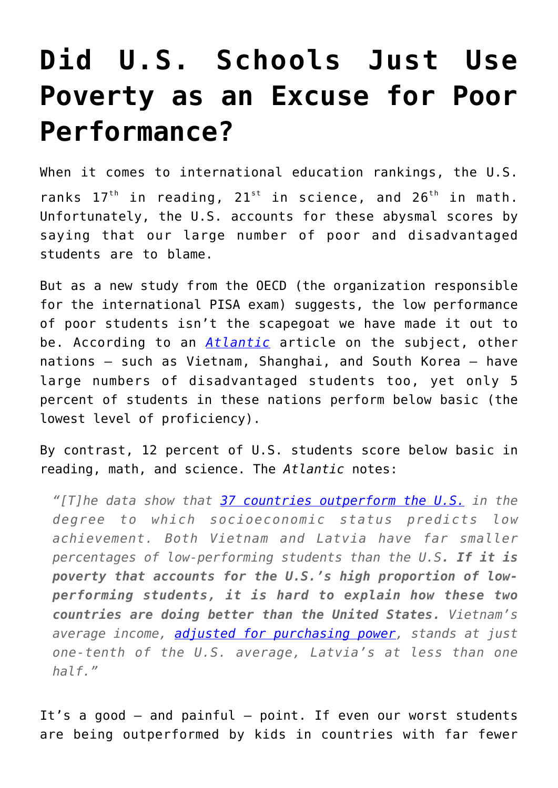## **[Did U.S. Schools Just Use](https://intellectualtakeout.org/2016/03/did-u-s-schools-just-use-poverty-as-an-excuse-for-poor-performance/) [Poverty as an Excuse for Poor](https://intellectualtakeout.org/2016/03/did-u-s-schools-just-use-poverty-as-an-excuse-for-poor-performance/) [Performance?](https://intellectualtakeout.org/2016/03/did-u-s-schools-just-use-poverty-as-an-excuse-for-poor-performance/)**

When it comes to international education rankings, the U.S. ranks  $17<sup>th</sup>$  in reading,  $21<sup>st</sup>$  in science, and  $26<sup>th</sup>$  in math. Unfortunately, the U.S. accounts for these abysmal scores by saying that our large number of poor and disadvantaged students are to blame.

But as a new study from the OECD (the organization responsible for the international PISA exam) suggests, the low performance of poor students isn't the scapegoat we have made it out to be. According to an *[Atlantic](http://www.theatlantic.com/education/archive/2016/02/us-asia-education-differences/471564/)* article on the subject, other nations – such as Vietnam, Shanghai, and South Korea – have large numbers of disadvantaged students too, yet only 5 percent of students in these nations perform below basic (the lowest level of proficiency).

By contrast, 12 percent of U.S. students score below basic in reading, math, and science. The *Atlantic* notes:

*"[T]he data show that [37 countries outperform the U.S.](http://www.oecd.org/pisa/pisaproducts/pisainfocus/pisa%20in%20focus%20n27%20%28eng%29--FINAL_version2.pdf) in the degree to which socioeconomic status predicts low achievement. Both Vietnam and Latvia have far smaller percentages of low-performing students than the U.S. If it is poverty that accounts for the U.S.'s high proportion of lowperforming students, it is hard to explain how these two countries are doing better than the United States. Vietnam's average income, [adjusted for purchasing power](http://data.worldbank.org/indicator/NY.GDP.PCAP.PP.CD), stands at just one-tenth of the U.S. average, Latvia's at less than one half."*

It's a good – and painful – point. If even our worst students are being outperformed by kids in countries with far fewer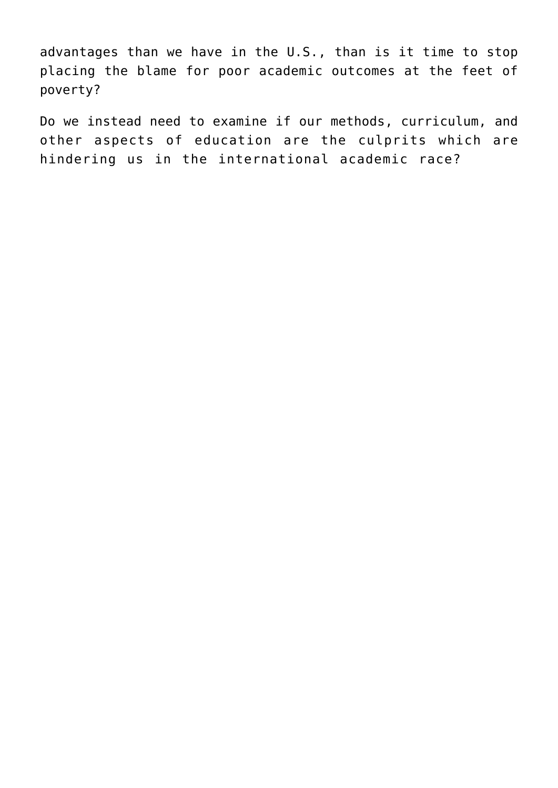advantages than we have in the U.S., than is it time to stop placing the blame for poor academic outcomes at the feet of poverty?

Do we instead need to examine if our methods, curriculum, and other aspects of education are the culprits which are hindering us in the international academic race?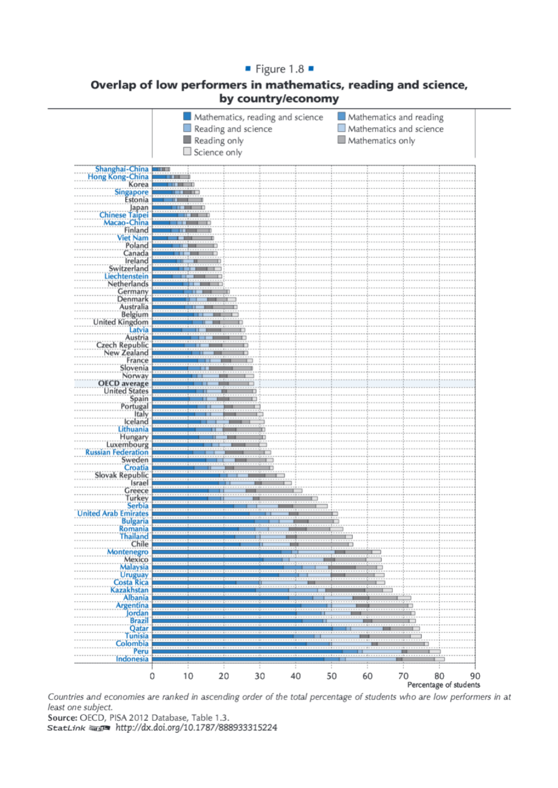## ■ Figure  $1.8$

## Overlap of low performers in mathematics, reading and science, by country/economy



Countries and economies are ranked in ascending order of the total percentage of students who are low performers in at least one subject.

Source: OECD, PISA 2012 Database, Table 1.3. StatLink @s= http://dx.doi.org/10.1787/888933315224